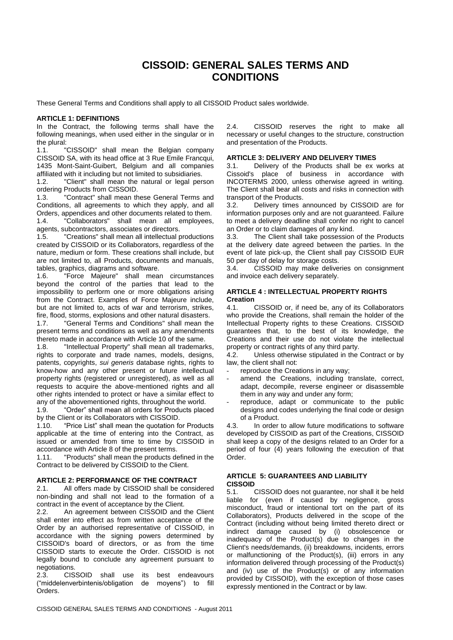# **CISSOID: GENERAL SALES TERMS AND CONDITIONS**

These General Terms and Conditions shall apply to all CISSOID Product sales worldwide.

### **ARTICLE 1: DEFINITIONS**

In the Contract, the following terms shall have the following meanings, when used either in the singular or in the plural:

1.1. "CISSOID" shall mean the Belgian company CISSOID SA, with its head office at 3 Rue Emile Francqui, 1435 Mont-Saint-Guibert, Belgium and all companies affiliated with it including but not limited to subsidiaries.

1.2. "Client" shall mean the natural or legal person ordering Products from CISSOID.

1.3. "Contract" shall mean these General Terms and Conditions, all agreements to which they apply, and all Orders, appendices and other documents related to them. 1.4. "Collaborators" shall mean all employees, agents, subcontractors, associates or directors.

1.5. "Creations" shall mean all intellectual productions created by CISSOID or its Collaborators, regardless of the nature, medium or form. These creations shall include, but are not limited to, all Products, documents and manuals, tables, graphics, diagrams and software.

1.6. "Force Majeure" shall mean circumstances beyond the control of the parties that lead to the impossibility to perform one or more obligations arising from the Contract. Examples of Force Majeure include, but are not limited to, acts of war and terrorism, strikes, fire, flood, storms, explosions and other natural disasters.

1.7. "General Terms and Conditions" shall mean the present terms and conditions as well as any amendments thereto made in accordance with Article 10 of the same.

1.8. "Intellectual Property" shall mean all trademarks, rights to corporate and trade names, models, designs, patents, copyrights, *sui generis* database rights, rights to know-how and any other present or future intellectual property rights (registered or unregistered), as well as all requests to acquire the above-mentioned rights and all other rights intended to protect or have a similar effect to any of the abovementioned rights, throughout the world.

1.9. "Order" shall mean all orders for Products placed by the Client or its Collaborators with CISSOID.

1.10. "Price List" shall mean the quotation for Products applicable at the time of entering into the Contract, as issued or amended from time to time by CISSOID in accordance with Article 8 of the present terms.

1.11. "Products" shall mean the products defined in the Contract to be delivered by CISSOID to the Client.

## **ARTICLE 2: PERFORMANCE OF THE CONTRACT**

2.1. All offers made by CISSOID shall be considered non-binding and shall not lead to the formation of a contract in the event of acceptance by the Client.

2.2. An agreement between CISSOID and the Client shall enter into effect as from written acceptance of the Order by an authorised representative of CISSOID, in accordance with the signing powers determined by CISSOID's board of directors, or as from the time CISSOID starts to execute the Order. CISSOID is not legally bound to conclude any agreement pursuant to negotiations.

2.3. CISSOID shall use its best endeavours ("middelenverbintenis/obligation de moyens") to fill Orders.

2.4. CISSOID reserves the right to make all necessary or useful changes to the structure, construction and presentation of the Products.

#### **ARTICLE 3: DELIVERY AND DELIVERY TIMES**

3.1. Delivery of the Products shall be ex works at Cissoid's place of business in accordance with INCOTERMS 2000, unless otherwise agreed in writing. The Client shall bear all costs and risks in connection with transport of the Products.

3.2. Delivery times announced by CISSOID are for information purposes only and are not guaranteed. Failure to meet a delivery deadline shall confer no right to cancel an Order or to claim damages of any kind.

3.3. The Client shall take possession of the Products at the delivery date agreed between the parties. In the event of late pick-up, the Client shall pay CISSOID EUR 50 per day of delay for storage costs.

3.4. CISSOID may make deliveries on consignment and invoice each delivery separately.

# **ARTICLE 4 : INTELLECTUAL PROPERTY RIGHTS Creation**

4.1. CISSOID or, if need be, any of its Collaborators who provide the Creations, shall remain the holder of the Intellectual Property rights to these Creations. CISSOID guarantees that, to the best of its knowledge, the Creations and their use do not violate the intellectual property or contract rights of any third party.

4.2. Unless otherwise stipulated in the Contract or by law, the client shall not:

- reproduce the Creations in any way;
- amend the Creations, including translate, correct, adapt, decompile, reverse engineer or disassemble them in any way and under any form;
- reproduce, adapt or communicate to the public designs and codes underlying the final code or design of a Product.

4.3. In order to allow future modifications to software developed by CISSOID as part of the Creations, CISSOID shall keep a copy of the designs related to an Order for a period of four (4) years following the execution of that Order.

# **ARTICLE 5: GUARANTEES AND LIABILITY CISSOID**

5.1. CISSOID does not guarantee, nor shall it be held liable for (even if caused by negligence, gross misconduct, fraud or intentional tort on the part of its Collaborators), Products delivered in the scope of the Contract (including without being limited thereto direct or indirect damage caused by (i) obsolescence or inadequacy of the Product(s) due to changes in the Client's needs/demands, (ii) breakdowns, incidents, errors or malfunctioning of the Product(s), (iii) errors in any information delivered through processing of the Product(s) and (iv) use of the Product(s) or of any information provided by CISSOID), with the exception of those cases expressly mentioned in the Contract or by law.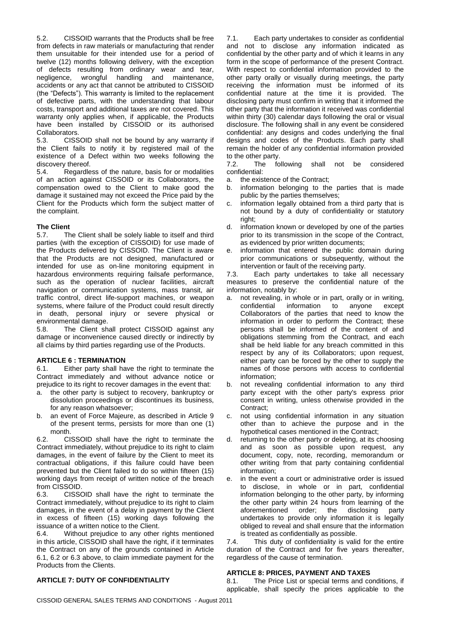5.2. CISSOID warrants that the Products shall be free from defects in raw materials or manufacturing that render them unsuitable for their intended use for a period of twelve (12) months following delivery, with the exception of defects resulting from ordinary wear and tear, negligence, wrongful handling and maintenance, accidents or any act that cannot be attributed to CISSOID (the "Defects"). This warranty is limited to the replacement of defective parts, with the understanding that labour costs, transport and additional taxes are not covered. This warranty only applies when, if applicable, the Products have been installed by CISSOID or its authorised Collaborators.

5.3. CISSOID shall not be bound by any warranty if the Client fails to notify it by registered mail of the existence of a Defect within two weeks following the discovery thereof.

5.4. Regardless of the nature, basis for or modalities of an action against CISSOID or its Collaborators, the compensation owed to the Client to make good the damage it sustained may not exceed the Price paid by the Client for the Products which form the subject matter of the complaint.

## **The Client**

5.7. The Client shall be solely liable to itself and third parties (with the exception of CISSOID) for use made of the Products delivered by CISSOID. The Client is aware that the Products are not designed, manufactured or intended for use as on-line monitoring equipment in hazardous environments requiring failsafe performance, such as the operation of nuclear facilities, aircraft navigation or communication systems, mass transit, air traffic control, direct life-support machines, or weapon systems, where failure of the Product could result directly in death, personal injury or severe physical or environmental damage.<br>5.8. The Client sh

The Client shall protect CISSOID against any damage or inconvenience caused directly or indirectly by all claims by third parties regarding use of the Products.

## **ARTICLE 6 : TERMINATION**

6.1. Either party shall have the right to terminate the Contract immediately and without advance notice or prejudice to its right to recover damages in the event that:

- a. the other party is subject to recovery, bankruptcy or dissolution proceedings or discontinues its business, for any reason whatsoever;
- b. an event of Force Majeure, as described in Article 9 of the present terms, persists for more than one (1) month.

6.2. CISSOID shall have the right to terminate the Contract immediately, without prejudice to its right to claim damages, in the event of failure by the Client to meet its contractual obligations, if this failure could have been prevented but the Client failed to do so within fifteen (15) working days from receipt of written notice of the breach from CISSOID.

6.3. CISSOID shall have the right to terminate the Contract immediately, without prejudice to its right to claim damages, in the event of a delay in payment by the Client in excess of fifteen (15) working days following the issuance of a written notice to the Client.

6.4. Without prejudice to any other rights mentioned in this article, CISSOID shall have the right, if it terminates the Contract on any of the grounds contained in Article 6.1, 6.2 or 6.3 above, to claim immediate payment for the Products from the Clients.

## **ARTICLE 7: DUTY OF CONFIDENTIALITY**

7.1. Each party undertakes to consider as confidential and not to disclose any information indicated as confidential by the other party and of which it learns in any form in the scope of performance of the present Contract. With respect to confidential information provided to the other party orally or visually during meetings, the party receiving the information must be informed of its confidential nature at the time it is provided. The disclosing party must confirm in writing that it informed the other party that the information it received was confidential within thirty (30) calendar days following the oral or visual disclosure. The following shall in any event be considered confidential: any designs and codes underlying the final designs and codes of the Products. Each party shall remain the holder of any confidential information provided to the other party.

7.2. The following shall not be considered confidential:

a. the existence of the Contract;

- b. information belonging to the parties that is made public by the parties themselves;
- c. information legally obtained from a third party that is not bound by a duty of confidentiality or statutory right;
- d. information known or developed by one of the parties prior to its transmission in the scope of the Contract, as evidenced by prior written documents;
- e. information that entered the public domain during prior communications or subsequently, without the intervention or fault of the receiving party.

7.3. Each party undertakes to take all necessary measures to preserve the confidential nature of the information, notably by:

- a. not revealing, in whole or in part, orally or in writing, confidential information to anyone except Collaborators of the parties that need to know the information in order to perform the Contract; these persons shall be informed of the content of and obligations stemming from the Contract, and each shall be held liable for any breach committed in this respect by any of its Collaborators; upon request, either party can be forced by the other to supply the names of those persons with access to confidential information;
- b. not revealing confidential information to any third party except with the other party's express prior consent in writing, unless otherwise provided in the Contract:
- c. not using confidential information in any situation other than to achieve the purpose and in the hypothetical cases mentioned in the Contract;
- returning to the other party or deleting, at its choosing and as soon as possible upon request, any document, copy, note, recording, memorandum or other writing from that party containing confidential information;
- e. in the event a court or administrative order is issued to disclose, in whole or in part, confidential information belonging to the other party, by informing the other party within 24 hours from learning of the aforementioned order; the disclosing party undertakes to provide only information it is legally obliged to reveal and shall ensure that the information is treated as confidentially as possible.

7.4. This duty of confidentiality is valid for the entire duration of the Contract and for five years thereafter, regardless of the cause of termination.

#### **ARTICLE 8: PRICES, PAYMENT AND TAXES**

8.1. The Price List or special terms and conditions, if applicable, shall specify the prices applicable to the